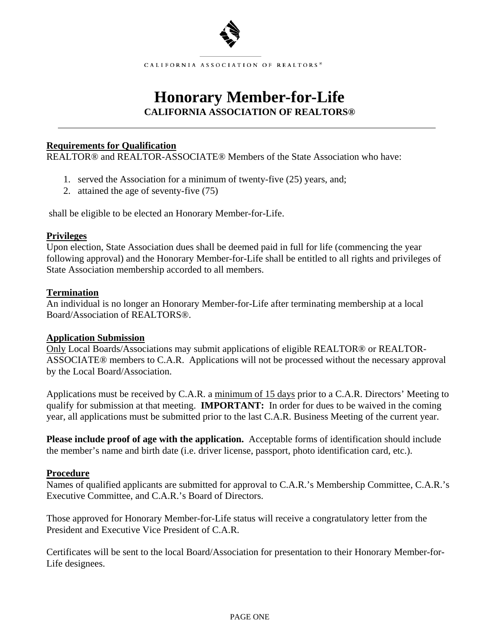

CALIFORNIA ASSOCIATION OF REALTORS<sup>®</sup>

## **Honorary Member-for-Life CALIFORNIA ASSOCIATION OF REALTORS®**

#### **Requirements for Qualification**

REALTOR® and REALTOR-ASSOCIATE® Members of the State Association who have:

- 1. served the Association for a minimum of twenty-five (25) years, and;
- 2. attained the age of seventy-five (75)

shall be eligible to be elected an Honorary Member-for-Life.

### **Privileges**

Upon election, State Association dues shall be deemed paid in full for life (commencing the year following approval) and the Honorary Member-for-Life shall be entitled to all rights and privileges of State Association membership accorded to all members.

### **Termination**

An individual is no longer an Honorary Member-for-Life after terminating membership at a local Board/Association of REALTORS®.

### **Application Submission**

Only Local Boards/Associations may submit applications of eligible REALTOR® or REALTOR-ASSOCIATE® members to C.A.R. Applications will not be processed without the necessary approval by the Local Board/Association.

Applications must be received by C.A.R. a minimum of 15 days prior to a C.A.R. Directors' Meeting to qualify for submission at that meeting. **IMPORTANT:** In order for dues to be waived in the coming year, all applications must be submitted prior to the last C.A.R. Business Meeting of the current year.

**Please include proof of age with the application.** Acceptable forms of identification should include the member's name and birth date (i.e. driver license, passport, photo identification card, etc.).

### **Procedure**

Names of qualified applicants are submitted for approval to C.A.R.'s Membership Committee, C.A.R.'s Executive Committee, and C.A.R.'s Board of Directors.

Those approved for Honorary Member-for-Life status will receive a congratulatory letter from the President and Executive Vice President of C.A.R.

Certificates will be sent to the local Board/Association for presentation to their Honorary Member-for-Life designees.